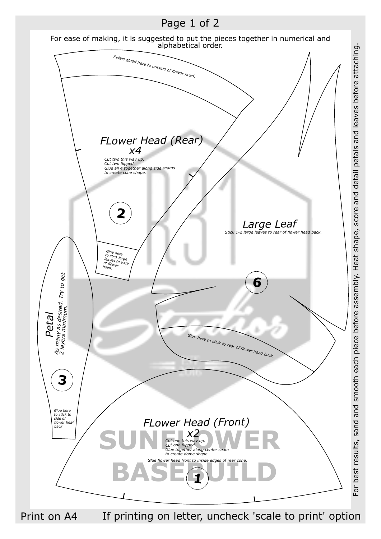

Print on A4 If printing on letter, uncheck 'scale to print' option